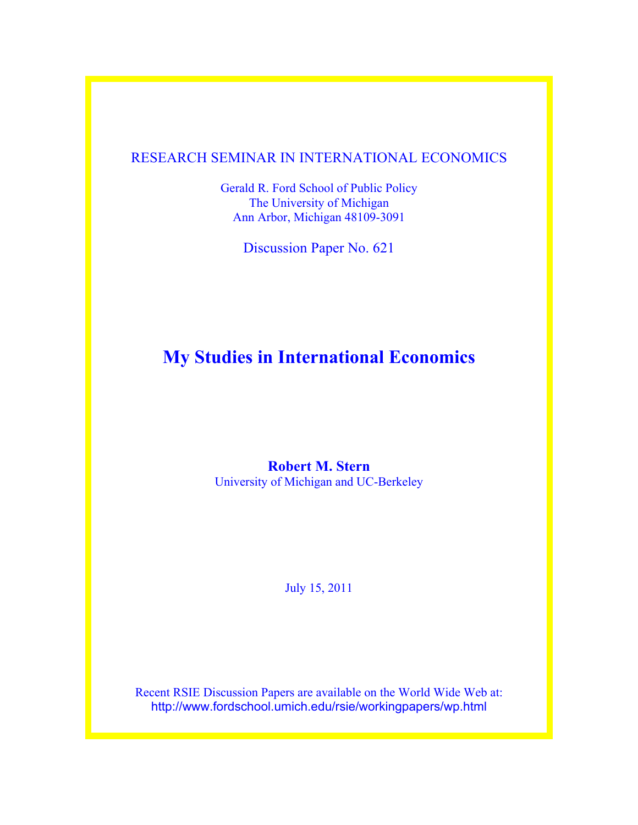## RESEARCH SEMINAR IN INTERNATIONAL ECONOMICS

Gerald R. Ford School of Public Policy The University of Michigan Ann Arbor, Michigan 48109-3091

Discussion Paper No. 621

# **My Studies in International Economics**

## **Robert M. Stern** University of Michigan and UC-Berkeley

July 15, 2011

Recent RSIE Discussion Papers are available on the World Wide Web at: http://www.fordschool.umich.edu/rsie/workingpapers/wp.html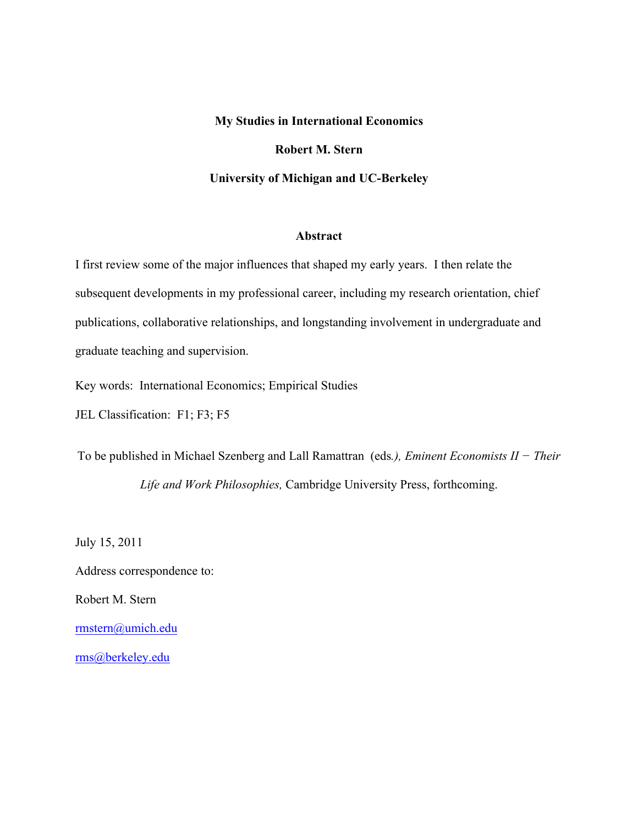## **My Studies in International Economics**

**Robert M. Stern**

## **University of Michigan and UC-Berkeley**

## **Abstract**

I first review some of the major influences that shaped my early years. I then relate the subsequent developments in my professional career, including my research orientation, chief publications, collaborative relationships, and longstanding involvement in undergraduate and graduate teaching and supervision.

Key words: International Economics; Empirical Studies

JEL Classification: F1; F3; F5

To be published in Michael Szenberg and Lall Ramattran (eds*.), Eminent Economists II − Their Life and Work Philosophies,* Cambridge University Press, forthcoming.

July 15, 2011

Address correspondence to: Robert M. Stern rmstern@umich.edu rms@berkeley.edu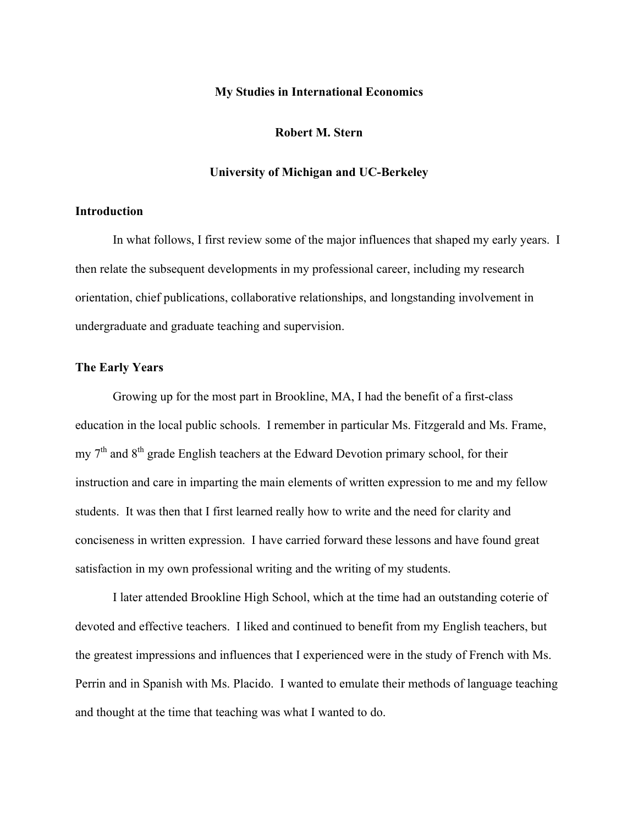## **My Studies in International Economics**

#### **Robert M. Stern**

#### **University of Michigan and UC-Berkeley**

## **Introduction**

In what follows, I first review some of the major influences that shaped my early years. I then relate the subsequent developments in my professional career, including my research orientation, chief publications, collaborative relationships, and longstanding involvement in undergraduate and graduate teaching and supervision.

## **The Early Years**

Growing up for the most part in Brookline, MA, I had the benefit of a first-class education in the local public schools. I remember in particular Ms. Fitzgerald and Ms. Frame, my  $7<sup>th</sup>$  and  $8<sup>th</sup>$  grade English teachers at the Edward Devotion primary school, for their instruction and care in imparting the main elements of written expression to me and my fellow students. It was then that I first learned really how to write and the need for clarity and conciseness in written expression. I have carried forward these lessons and have found great satisfaction in my own professional writing and the writing of my students.

I later attended Brookline High School, which at the time had an outstanding coterie of devoted and effective teachers. I liked and continued to benefit from my English teachers, but the greatest impressions and influences that I experienced were in the study of French with Ms. Perrin and in Spanish with Ms. Placido. I wanted to emulate their methods of language teaching and thought at the time that teaching was what I wanted to do.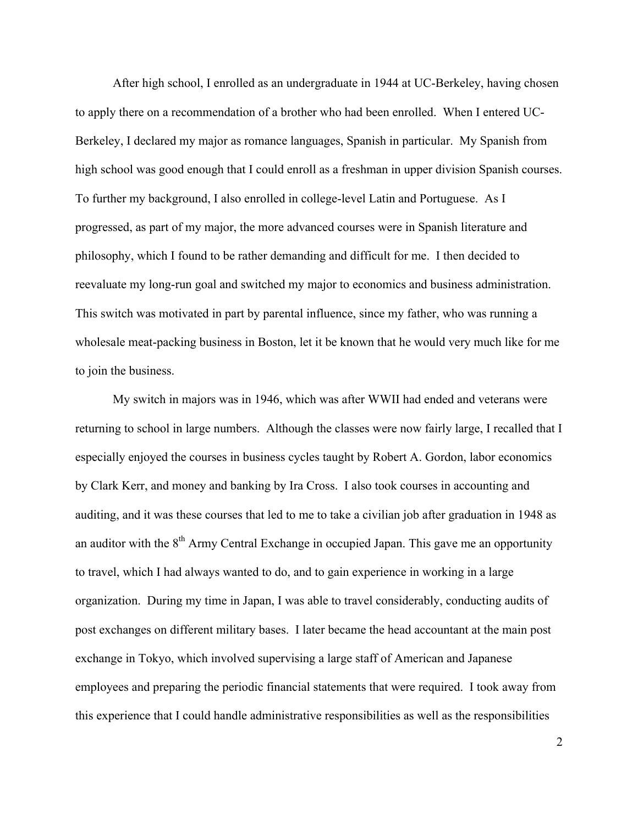After high school, I enrolled as an undergraduate in 1944 at UC-Berkeley, having chosen to apply there on a recommendation of a brother who had been enrolled. When I entered UC-Berkeley, I declared my major as romance languages, Spanish in particular. My Spanish from high school was good enough that I could enroll as a freshman in upper division Spanish courses. To further my background, I also enrolled in college-level Latin and Portuguese. As I progressed, as part of my major, the more advanced courses were in Spanish literature and philosophy, which I found to be rather demanding and difficult for me. I then decided to reevaluate my long-run goal and switched my major to economics and business administration. This switch was motivated in part by parental influence, since my father, who was running a wholesale meat-packing business in Boston, let it be known that he would very much like for me to join the business.

My switch in majors was in 1946, which was after WWII had ended and veterans were returning to school in large numbers. Although the classes were now fairly large, I recalled that I especially enjoyed the courses in business cycles taught by Robert A. Gordon, labor economics by Clark Kerr, and money and banking by Ira Cross. I also took courses in accounting and auditing, and it was these courses that led to me to take a civilian job after graduation in 1948 as an auditor with the  $8<sup>th</sup>$  Army Central Exchange in occupied Japan. This gave me an opportunity to travel, which I had always wanted to do, and to gain experience in working in a large organization. During my time in Japan, I was able to travel considerably, conducting audits of post exchanges on different military bases. I later became the head accountant at the main post exchange in Tokyo, which involved supervising a large staff of American and Japanese employees and preparing the periodic financial statements that were required. I took away from this experience that I could handle administrative responsibilities as well as the responsibilities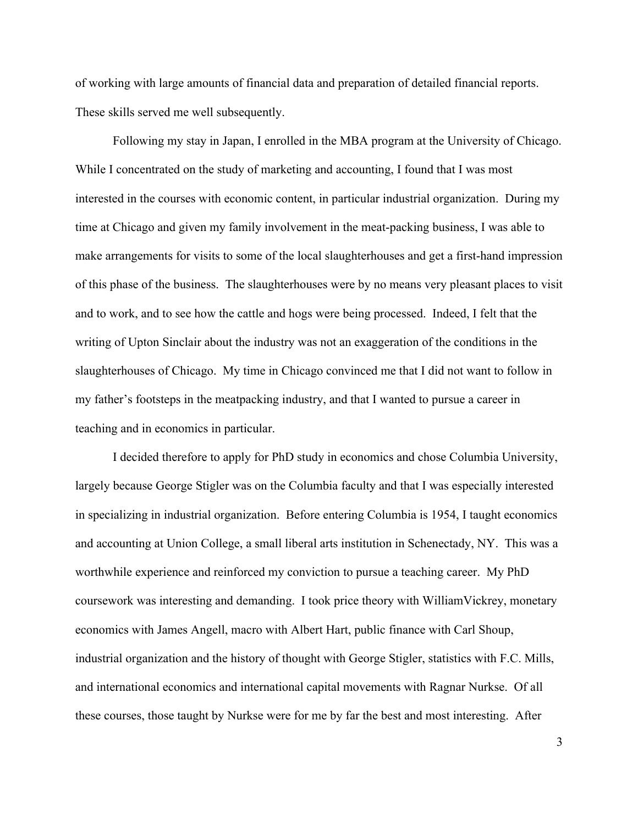of working with large amounts of financial data and preparation of detailed financial reports. These skills served me well subsequently.

Following my stay in Japan, I enrolled in the MBA program at the University of Chicago. While I concentrated on the study of marketing and accounting, I found that I was most interested in the courses with economic content, in particular industrial organization. During my time at Chicago and given my family involvement in the meat-packing business, I was able to make arrangements for visits to some of the local slaughterhouses and get a first-hand impression of this phase of the business. The slaughterhouses were by no means very pleasant places to visit and to work, and to see how the cattle and hogs were being processed. Indeed, I felt that the writing of Upton Sinclair about the industry was not an exaggeration of the conditions in the slaughterhouses of Chicago. My time in Chicago convinced me that I did not want to follow in my father's footsteps in the meatpacking industry, and that I wanted to pursue a career in teaching and in economics in particular.

I decided therefore to apply for PhD study in economics and chose Columbia University, largely because George Stigler was on the Columbia faculty and that I was especially interested in specializing in industrial organization. Before entering Columbia is 1954, I taught economics and accounting at Union College, a small liberal arts institution in Schenectady, NY. This was a worthwhile experience and reinforced my conviction to pursue a teaching career. My PhD coursework was interesting and demanding. I took price theory with WilliamVickrey, monetary economics with James Angell, macro with Albert Hart, public finance with Carl Shoup, industrial organization and the history of thought with George Stigler, statistics with F.C. Mills, and international economics and international capital movements with Ragnar Nurkse. Of all these courses, those taught by Nurkse were for me by far the best and most interesting. After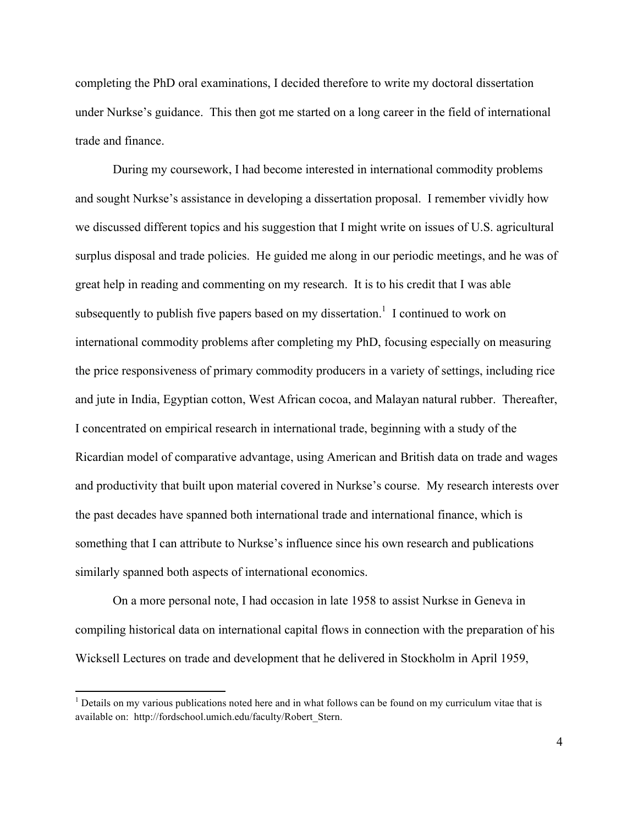completing the PhD oral examinations, I decided therefore to write my doctoral dissertation under Nurkse's guidance. This then got me started on a long career in the field of international trade and finance.

During my coursework, I had become interested in international commodity problems and sought Nurkse's assistance in developing a dissertation proposal. I remember vividly how we discussed different topics and his suggestion that I might write on issues of U.S. agricultural surplus disposal and trade policies. He guided me along in our periodic meetings, and he was of great help in reading and commenting on my research. It is to his credit that I was able subsequently to publish five papers based on my dissertation.<sup>1</sup> I continued to work on international commodity problems after completing my PhD, focusing especially on measuring the price responsiveness of primary commodity producers in a variety of settings, including rice and jute in India, Egyptian cotton, West African cocoa, and Malayan natural rubber. Thereafter, I concentrated on empirical research in international trade, beginning with a study of the Ricardian model of comparative advantage, using American and British data on trade and wages and productivity that built upon material covered in Nurkse's course. My research interests over the past decades have spanned both international trade and international finance, which is something that I can attribute to Nurkse's influence since his own research and publications similarly spanned both aspects of international economics.

On a more personal note, I had occasion in late 1958 to assist Nurkse in Geneva in compiling historical data on international capital flows in connection with the preparation of his Wicksell Lectures on trade and development that he delivered in Stockholm in April 1959,

<sup>1</sup> Details on my various publications noted here and in what follows can be found on my curriculum vitae that is available on: http://fordschool.umich.edu/faculty/Robert\_Stern.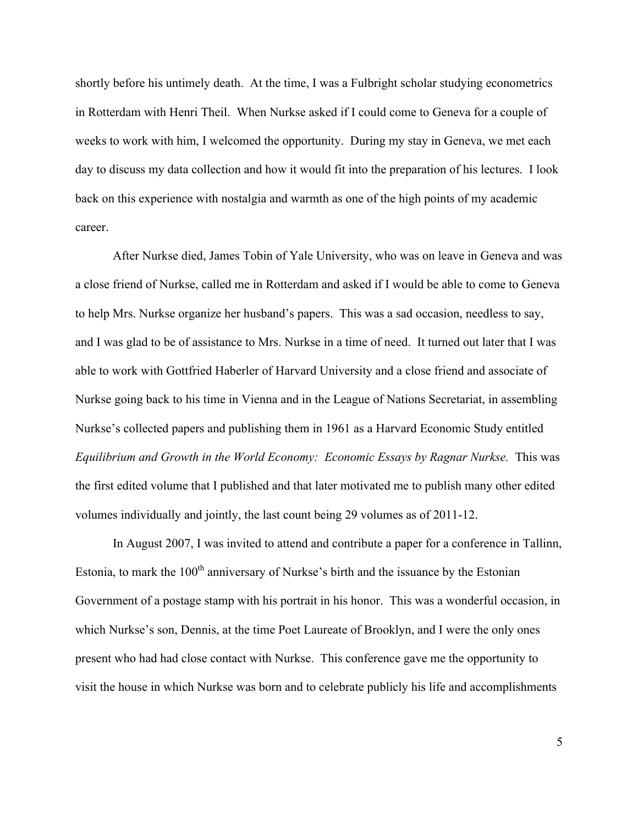shortly before his untimely death. At the time, I was a Fulbright scholar studying econometrics in Rotterdam with Henri Theil. When Nurkse asked if I could come to Geneva for a couple of weeks to work with him, I welcomed the opportunity. During my stay in Geneva, we met each day to discuss my data collection and how it would fit into the preparation of his lectures. I look back on this experience with nostalgia and warmth as one of the high points of my academic career.

After Nurkse died, James Tobin of Yale University, who was on leave in Geneva and was a close friend of Nurkse, called me in Rotterdam and asked if I would be able to come to Geneva to help Mrs. Nurkse organize her husband's papers. This was a sad occasion, needless to say, and I was glad to be of assistance to Mrs. Nurkse in a time of need. It turned out later that I was able to work with Gottfried Haberler of Harvard University and a close friend and associate of Nurkse going back to his time in Vienna and in the League of Nations Secretariat, in assembling Nurkse's collected papers and publishing them in 1961 as a Harvard Economic Study entitled *Equilibrium and Growth in the World Economy: Economic Essays by Ragnar Nurkse.* This was the first edited volume that I published and that later motivated me to publish many other edited volumes individually and jointly, the last count being 29 volumes as of 2011-12.

In August 2007, I was invited to attend and contribute a paper for a conference in Tallinn, Estonia, to mark the  $100<sup>th</sup>$  anniversary of Nurkse's birth and the issuance by the Estonian Government of a postage stamp with his portrait in his honor. This was a wonderful occasion, in which Nurkse's son, Dennis, at the time Poet Laureate of Brooklyn, and I were the only ones present who had had close contact with Nurkse. This conference gave me the opportunity to visit the house in which Nurkse was born and to celebrate publicly his life and accomplishments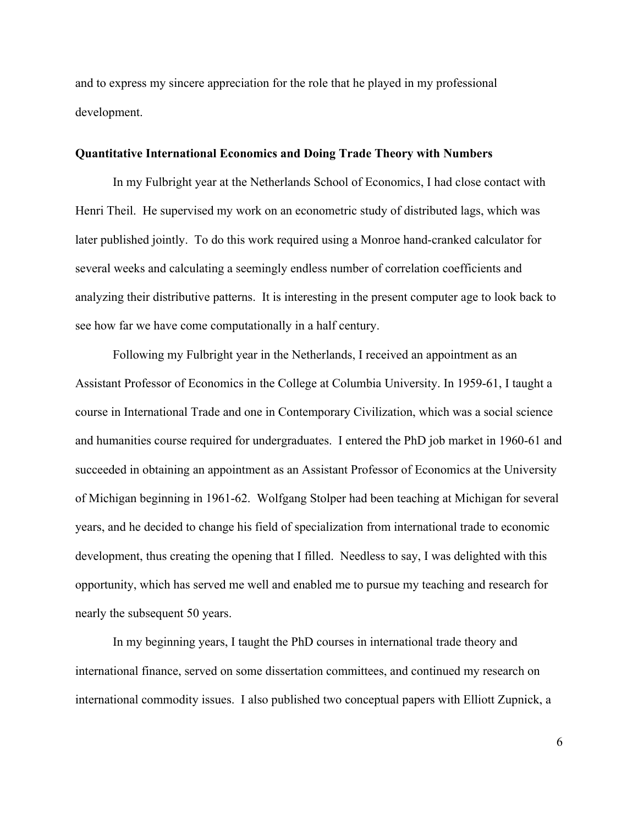and to express my sincere appreciation for the role that he played in my professional development.

## **Quantitative International Economics and Doing Trade Theory with Numbers**

In my Fulbright year at the Netherlands School of Economics, I had close contact with Henri Theil. He supervised my work on an econometric study of distributed lags, which was later published jointly. To do this work required using a Monroe hand-cranked calculator for several weeks and calculating a seemingly endless number of correlation coefficients and analyzing their distributive patterns. It is interesting in the present computer age to look back to see how far we have come computationally in a half century.

Following my Fulbright year in the Netherlands, I received an appointment as an Assistant Professor of Economics in the College at Columbia University. In 1959-61, I taught a course in International Trade and one in Contemporary Civilization, which was a social science and humanities course required for undergraduates. I entered the PhD job market in 1960-61 and succeeded in obtaining an appointment as an Assistant Professor of Economics at the University of Michigan beginning in 1961-62. Wolfgang Stolper had been teaching at Michigan for several years, and he decided to change his field of specialization from international trade to economic development, thus creating the opening that I filled. Needless to say, I was delighted with this opportunity, which has served me well and enabled me to pursue my teaching and research for nearly the subsequent 50 years.

In my beginning years, I taught the PhD courses in international trade theory and international finance, served on some dissertation committees, and continued my research on international commodity issues. I also published two conceptual papers with Elliott Zupnick, a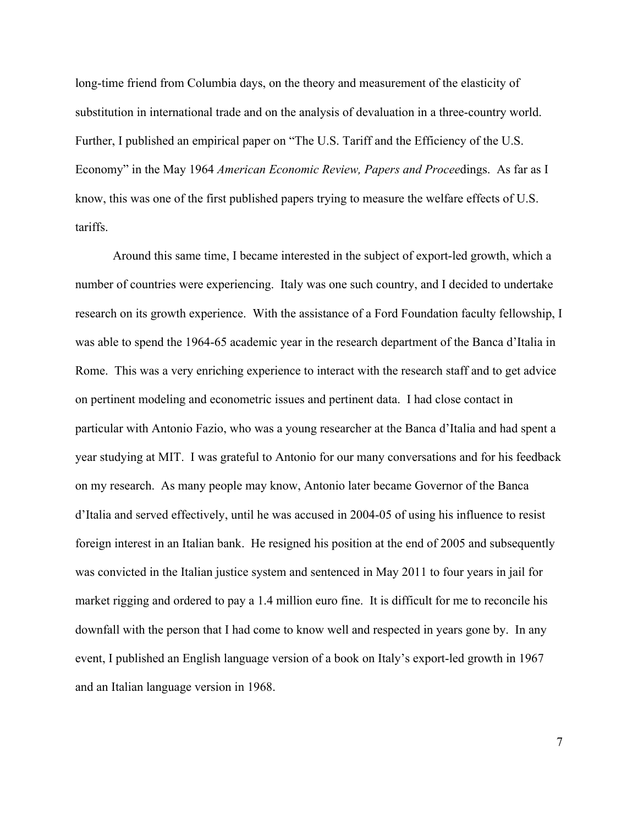long-time friend from Columbia days, on the theory and measurement of the elasticity of substitution in international trade and on the analysis of devaluation in a three-country world. Further, I published an empirical paper on "The U.S. Tariff and the Efficiency of the U.S. Economy" in the May 1964 *American Economic Review, Papers and Procee*dings. As far as I know, this was one of the first published papers trying to measure the welfare effects of U.S. tariffs.

Around this same time, I became interested in the subject of export-led growth, which a number of countries were experiencing. Italy was one such country, and I decided to undertake research on its growth experience. With the assistance of a Ford Foundation faculty fellowship, I was able to spend the 1964-65 academic year in the research department of the Banca d'Italia in Rome. This was a very enriching experience to interact with the research staff and to get advice on pertinent modeling and econometric issues and pertinent data. I had close contact in particular with Antonio Fazio, who was a young researcher at the Banca d'Italia and had spent a year studying at MIT. I was grateful to Antonio for our many conversations and for his feedback on my research. As many people may know, Antonio later became Governor of the Banca d'Italia and served effectively, until he was accused in 2004-05 of using his influence to resist foreign interest in an Italian bank. He resigned his position at the end of 2005 and subsequently was convicted in the Italian justice system and sentenced in May 2011 to four years in jail for market rigging and ordered to pay a 1.4 million euro fine. It is difficult for me to reconcile his downfall with the person that I had come to know well and respected in years gone by. In any event, I published an English language version of a book on Italy's export-led growth in 1967 and an Italian language version in 1968.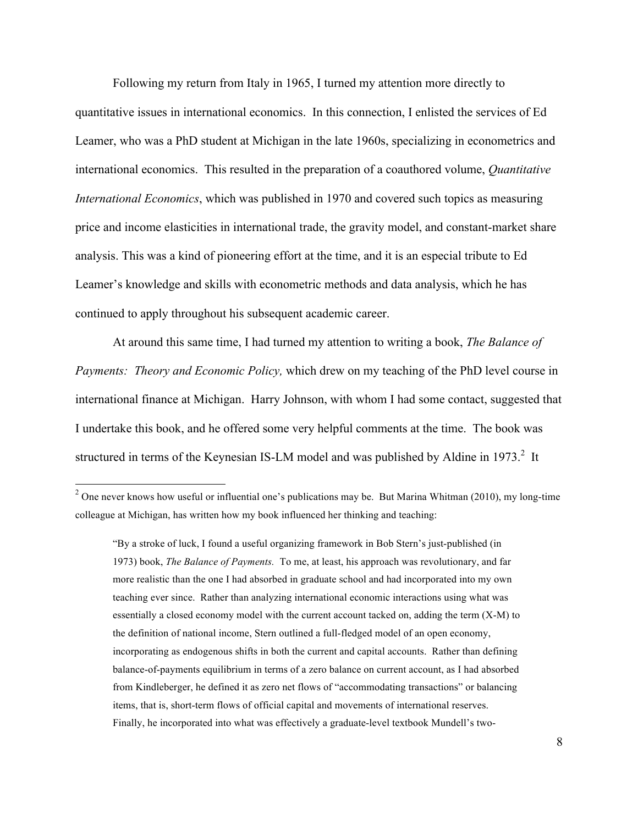Following my return from Italy in 1965, I turned my attention more directly to quantitative issues in international economics. In this connection, I enlisted the services of Ed Leamer, who was a PhD student at Michigan in the late 1960s, specializing in econometrics and international economics. This resulted in the preparation of a coauthored volume, *Quantitative International Economics*, which was published in 1970 and covered such topics as measuring price and income elasticities in international trade, the gravity model, and constant-market share analysis. This was a kind of pioneering effort at the time, and it is an especial tribute to Ed Leamer's knowledge and skills with econometric methods and data analysis, which he has continued to apply throughout his subsequent academic career.

At around this same time, I had turned my attention to writing a book, *The Balance of Payments: Theory and Economic Policy,* which drew on my teaching of the PhD level course in international finance at Michigan. Harry Johnson, with whom I had some contact, suggested that I undertake this book, and he offered some very helpful comments at the time. The book was structured in terms of the Keynesian IS-LM model and was published by Aldine in 1973. $2$  It

 $2$  One never knows how useful or influential one's publications may be. But Marina Whitman (2010), my long-time colleague at Michigan, has written how my book influenced her thinking and teaching:

<sup>&</sup>quot;By a stroke of luck, I found a useful organizing framework in Bob Stern's just-published (in 1973) book, *The Balance of Payments.* To me, at least, his approach was revolutionary, and far more realistic than the one I had absorbed in graduate school and had incorporated into my own teaching ever since. Rather than analyzing international economic interactions using what was essentially a closed economy model with the current account tacked on, adding the term (X-M) to the definition of national income, Stern outlined a full-fledged model of an open economy, incorporating as endogenous shifts in both the current and capital accounts. Rather than defining balance-of-payments equilibrium in terms of a zero balance on current account, as I had absorbed from Kindleberger, he defined it as zero net flows of "accommodating transactions" or balancing items, that is, short-term flows of official capital and movements of international reserves. Finally, he incorporated into what was effectively a graduate-level textbook Mundell's two-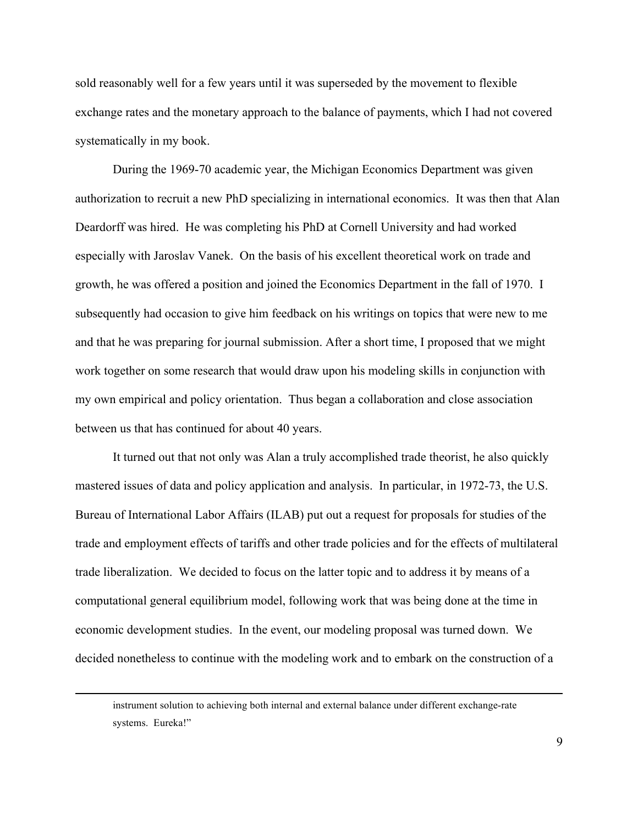sold reasonably well for a few years until it was superseded by the movement to flexible exchange rates and the monetary approach to the balance of payments, which I had not covered systematically in my book.

During the 1969-70 academic year, the Michigan Economics Department was given authorization to recruit a new PhD specializing in international economics. It was then that Alan Deardorff was hired. He was completing his PhD at Cornell University and had worked especially with Jaroslav Vanek. On the basis of his excellent theoretical work on trade and growth, he was offered a position and joined the Economics Department in the fall of 1970. I subsequently had occasion to give him feedback on his writings on topics that were new to me and that he was preparing for journal submission. After a short time, I proposed that we might work together on some research that would draw upon his modeling skills in conjunction with my own empirical and policy orientation. Thus began a collaboration and close association between us that has continued for about 40 years.

It turned out that not only was Alan a truly accomplished trade theorist, he also quickly mastered issues of data and policy application and analysis. In particular, in 1972-73, the U.S. Bureau of International Labor Affairs (ILAB) put out a request for proposals for studies of the trade and employment effects of tariffs and other trade policies and for the effects of multilateral trade liberalization. We decided to focus on the latter topic and to address it by means of a computational general equilibrium model, following work that was being done at the time in economic development studies. In the event, our modeling proposal was turned down. We decided nonetheless to continue with the modeling work and to embark on the construction of a

instrument solution to achieving both internal and external balance under different exchange-rate systems. Eureka!"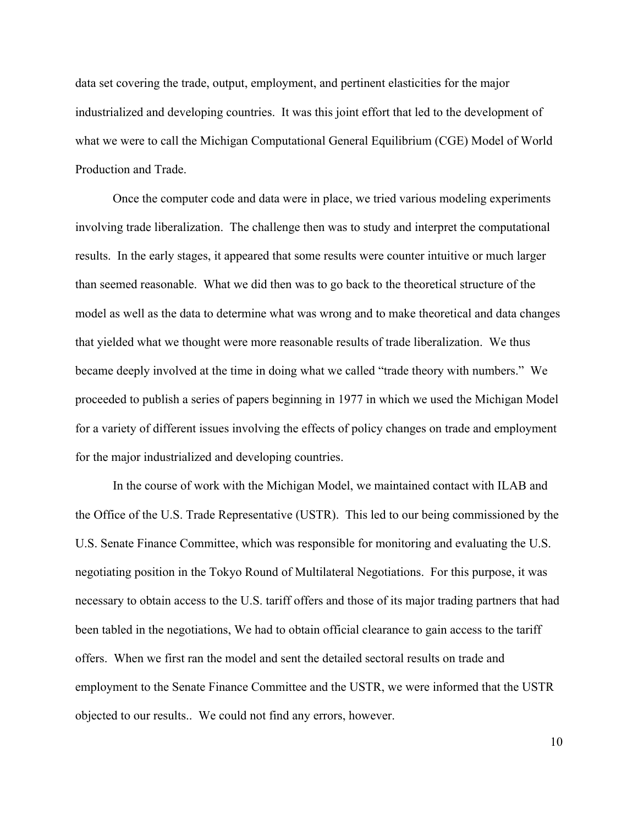data set covering the trade, output, employment, and pertinent elasticities for the major industrialized and developing countries. It was this joint effort that led to the development of what we were to call the Michigan Computational General Equilibrium (CGE) Model of World Production and Trade.

Once the computer code and data were in place, we tried various modeling experiments involving trade liberalization. The challenge then was to study and interpret the computational results. In the early stages, it appeared that some results were counter intuitive or much larger than seemed reasonable. What we did then was to go back to the theoretical structure of the model as well as the data to determine what was wrong and to make theoretical and data changes that yielded what we thought were more reasonable results of trade liberalization. We thus became deeply involved at the time in doing what we called "trade theory with numbers." We proceeded to publish a series of papers beginning in 1977 in which we used the Michigan Model for a variety of different issues involving the effects of policy changes on trade and employment for the major industrialized and developing countries.

In the course of work with the Michigan Model, we maintained contact with ILAB and the Office of the U.S. Trade Representative (USTR). This led to our being commissioned by the U.S. Senate Finance Committee, which was responsible for monitoring and evaluating the U.S. negotiating position in the Tokyo Round of Multilateral Negotiations. For this purpose, it was necessary to obtain access to the U.S. tariff offers and those of its major trading partners that had been tabled in the negotiations, We had to obtain official clearance to gain access to the tariff offers. When we first ran the model and sent the detailed sectoral results on trade and employment to the Senate Finance Committee and the USTR, we were informed that the USTR objected to our results.. We could not find any errors, however.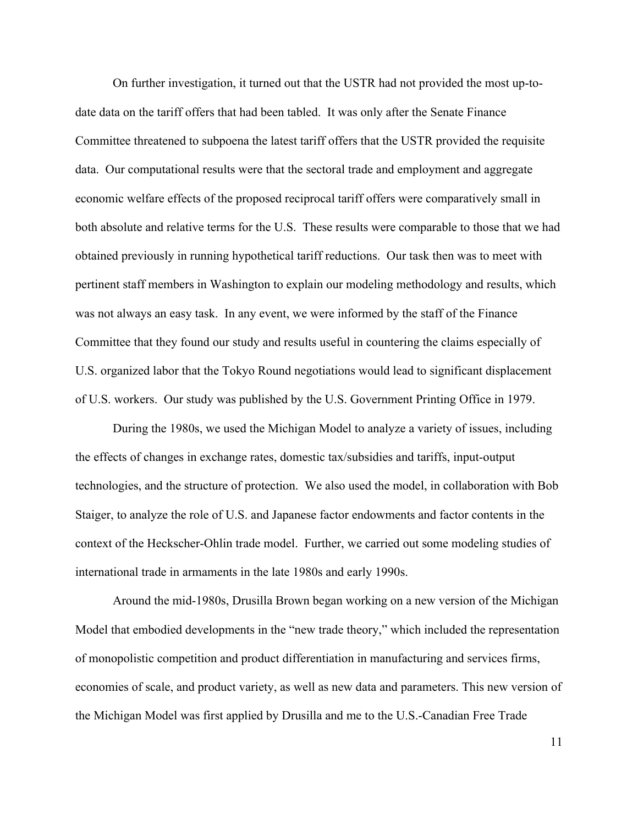On further investigation, it turned out that the USTR had not provided the most up-todate data on the tariff offers that had been tabled. It was only after the Senate Finance Committee threatened to subpoena the latest tariff offers that the USTR provided the requisite data. Our computational results were that the sectoral trade and employment and aggregate economic welfare effects of the proposed reciprocal tariff offers were comparatively small in both absolute and relative terms for the U.S. These results were comparable to those that we had obtained previously in running hypothetical tariff reductions. Our task then was to meet with pertinent staff members in Washington to explain our modeling methodology and results, which was not always an easy task. In any event, we were informed by the staff of the Finance Committee that they found our study and results useful in countering the claims especially of U.S. organized labor that the Tokyo Round negotiations would lead to significant displacement of U.S. workers. Our study was published by the U.S. Government Printing Office in 1979.

During the 1980s, we used the Michigan Model to analyze a variety of issues, including the effects of changes in exchange rates, domestic tax/subsidies and tariffs, input-output technologies, and the structure of protection. We also used the model, in collaboration with Bob Staiger, to analyze the role of U.S. and Japanese factor endowments and factor contents in the context of the Heckscher-Ohlin trade model. Further, we carried out some modeling studies of international trade in armaments in the late 1980s and early 1990s.

Around the mid-1980s, Drusilla Brown began working on a new version of the Michigan Model that embodied developments in the "new trade theory," which included the representation of monopolistic competition and product differentiation in manufacturing and services firms, economies of scale, and product variety, as well as new data and parameters. This new version of the Michigan Model was first applied by Drusilla and me to the U.S.-Canadian Free Trade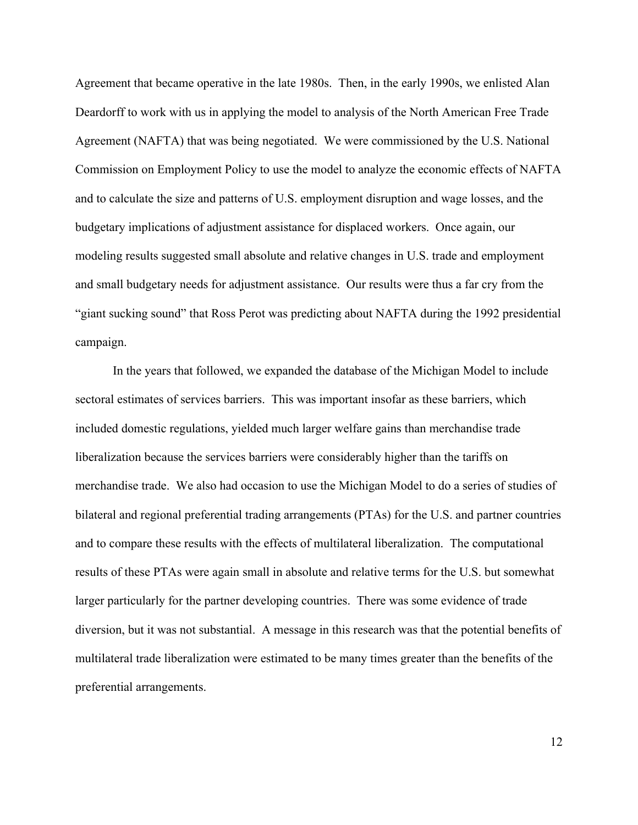Agreement that became operative in the late 1980s. Then, in the early 1990s, we enlisted Alan Deardorff to work with us in applying the model to analysis of the North American Free Trade Agreement (NAFTA) that was being negotiated. We were commissioned by the U.S. National Commission on Employment Policy to use the model to analyze the economic effects of NAFTA and to calculate the size and patterns of U.S. employment disruption and wage losses, and the budgetary implications of adjustment assistance for displaced workers. Once again, our modeling results suggested small absolute and relative changes in U.S. trade and employment and small budgetary needs for adjustment assistance. Our results were thus a far cry from the "giant sucking sound" that Ross Perot was predicting about NAFTA during the 1992 presidential campaign.

In the years that followed, we expanded the database of the Michigan Model to include sectoral estimates of services barriers. This was important insofar as these barriers, which included domestic regulations, yielded much larger welfare gains than merchandise trade liberalization because the services barriers were considerably higher than the tariffs on merchandise trade. We also had occasion to use the Michigan Model to do a series of studies of bilateral and regional preferential trading arrangements (PTAs) for the U.S. and partner countries and to compare these results with the effects of multilateral liberalization. The computational results of these PTAs were again small in absolute and relative terms for the U.S. but somewhat larger particularly for the partner developing countries. There was some evidence of trade diversion, but it was not substantial. A message in this research was that the potential benefits of multilateral trade liberalization were estimated to be many times greater than the benefits of the preferential arrangements.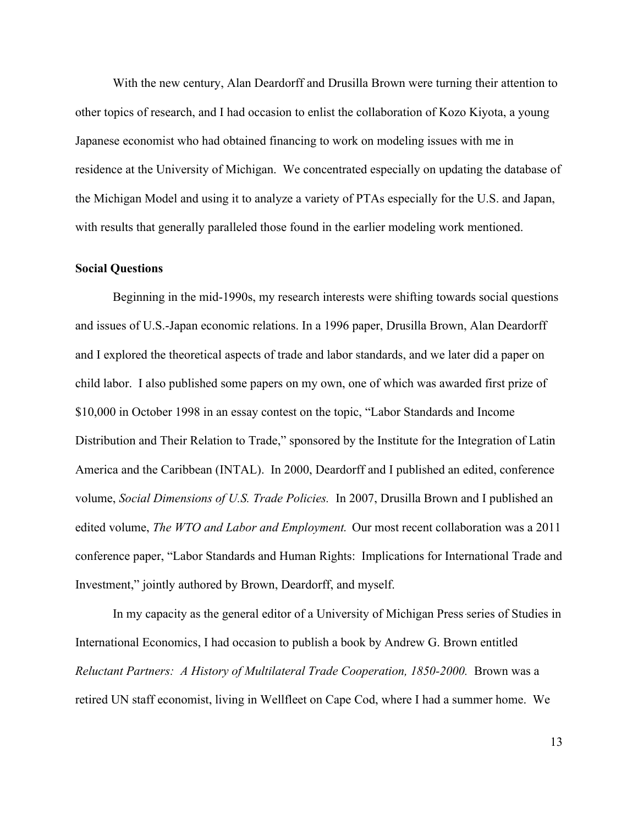With the new century, Alan Deardorff and Drusilla Brown were turning their attention to other topics of research, and I had occasion to enlist the collaboration of Kozo Kiyota, a young Japanese economist who had obtained financing to work on modeling issues with me in residence at the University of Michigan. We concentrated especially on updating the database of the Michigan Model and using it to analyze a variety of PTAs especially for the U.S. and Japan, with results that generally paralleled those found in the earlier modeling work mentioned.

#### **Social Questions**

Beginning in the mid-1990s, my research interests were shifting towards social questions and issues of U.S.-Japan economic relations. In a 1996 paper, Drusilla Brown, Alan Deardorff and I explored the theoretical aspects of trade and labor standards, and we later did a paper on child labor. I also published some papers on my own, one of which was awarded first prize of \$10,000 in October 1998 in an essay contest on the topic, "Labor Standards and Income Distribution and Their Relation to Trade," sponsored by the Institute for the Integration of Latin America and the Caribbean (INTAL). In 2000, Deardorff and I published an edited, conference volume, *Social Dimensions of U.S. Trade Policies.* In 2007, Drusilla Brown and I published an edited volume, *The WTO and Labor and Employment*. Our most recent collaboration was a 2011 conference paper, "Labor Standards and Human Rights: Implications for International Trade and Investment," jointly authored by Brown, Deardorff, and myself.

In my capacity as the general editor of a University of Michigan Press series of Studies in International Economics, I had occasion to publish a book by Andrew G. Brown entitled *Reluctant Partners: A History of Multilateral Trade Cooperation, 1850-2000.* Brown was a retired UN staff economist, living in Wellfleet on Cape Cod, where I had a summer home. We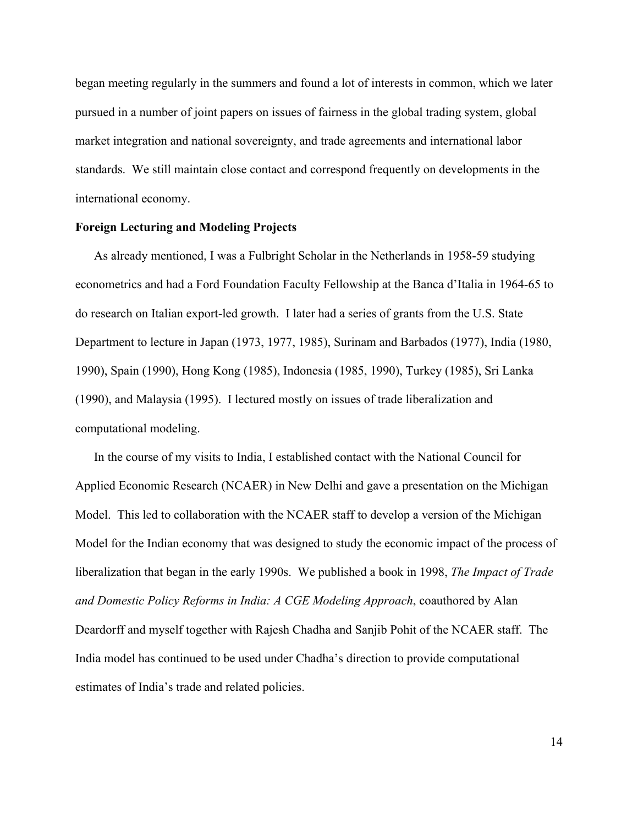began meeting regularly in the summers and found a lot of interests in common, which we later pursued in a number of joint papers on issues of fairness in the global trading system, global market integration and national sovereignty, and trade agreements and international labor standards. We still maintain close contact and correspond frequently on developments in the international economy.

## **Foreign Lecturing and Modeling Projects**

As already mentioned, I was a Fulbright Scholar in the Netherlands in 1958-59 studying econometrics and had a Ford Foundation Faculty Fellowship at the Banca d'Italia in 1964-65 to do research on Italian export-led growth. I later had a series of grants from the U.S. State Department to lecture in Japan (1973, 1977, 1985), Surinam and Barbados (1977), India (1980, 1990), Spain (1990), Hong Kong (1985), Indonesia (1985, 1990), Turkey (1985), Sri Lanka (1990), and Malaysia (1995). I lectured mostly on issues of trade liberalization and computational modeling.

In the course of my visits to India, I established contact with the National Council for Applied Economic Research (NCAER) in New Delhi and gave a presentation on the Michigan Model. This led to collaboration with the NCAER staff to develop a version of the Michigan Model for the Indian economy that was designed to study the economic impact of the process of liberalization that began in the early 1990s. We published a book in 1998, *The Impact of Trade and Domestic Policy Reforms in India: A CGE Modeling Approach*, coauthored by Alan Deardorff and myself together with Rajesh Chadha and Sanjib Pohit of the NCAER staff. The India model has continued to be used under Chadha's direction to provide computational estimates of India's trade and related policies.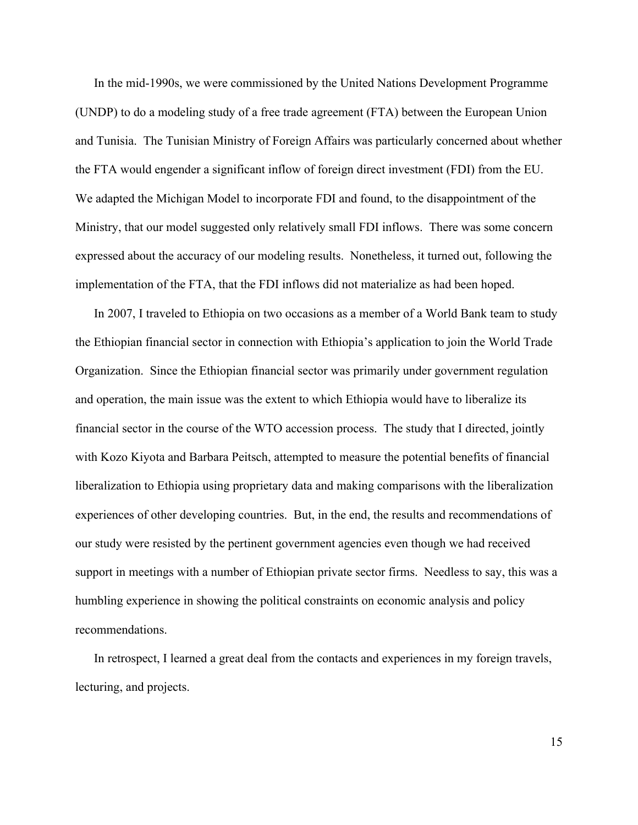In the mid-1990s, we were commissioned by the United Nations Development Programme (UNDP) to do a modeling study of a free trade agreement (FTA) between the European Union and Tunisia. The Tunisian Ministry of Foreign Affairs was particularly concerned about whether the FTA would engender a significant inflow of foreign direct investment (FDI) from the EU. We adapted the Michigan Model to incorporate FDI and found, to the disappointment of the Ministry, that our model suggested only relatively small FDI inflows. There was some concern expressed about the accuracy of our modeling results. Nonetheless, it turned out, following the implementation of the FTA, that the FDI inflows did not materialize as had been hoped.

In 2007, I traveled to Ethiopia on two occasions as a member of a World Bank team to study the Ethiopian financial sector in connection with Ethiopia's application to join the World Trade Organization. Since the Ethiopian financial sector was primarily under government regulation and operation, the main issue was the extent to which Ethiopia would have to liberalize its financial sector in the course of the WTO accession process. The study that I directed, jointly with Kozo Kiyota and Barbara Peitsch, attempted to measure the potential benefits of financial liberalization to Ethiopia using proprietary data and making comparisons with the liberalization experiences of other developing countries. But, in the end, the results and recommendations of our study were resisted by the pertinent government agencies even though we had received support in meetings with a number of Ethiopian private sector firms. Needless to say, this was a humbling experience in showing the political constraints on economic analysis and policy recommendations.

In retrospect, I learned a great deal from the contacts and experiences in my foreign travels, lecturing, and projects.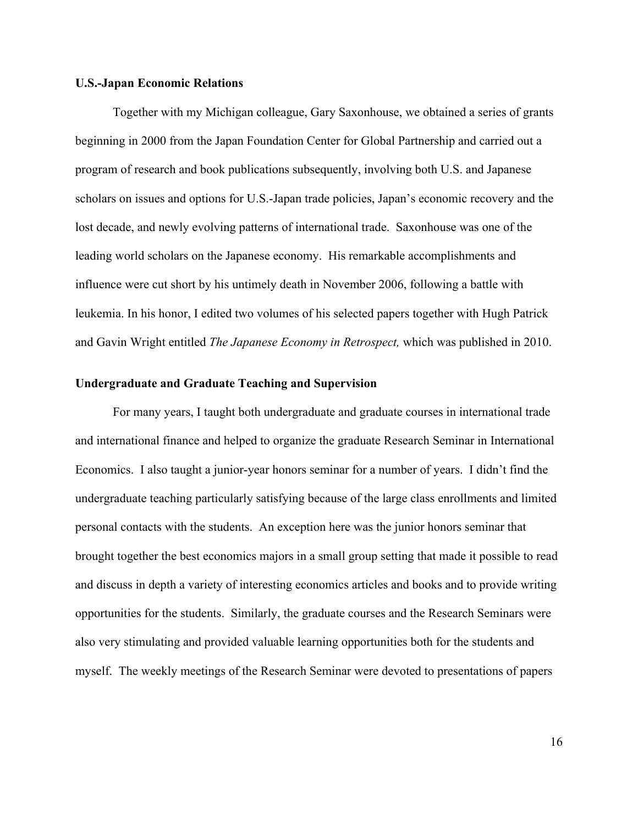## **U.S.-Japan Economic Relations**

Together with my Michigan colleague, Gary Saxonhouse, we obtained a series of grants beginning in 2000 from the Japan Foundation Center for Global Partnership and carried out a program of research and book publications subsequently, involving both U.S. and Japanese scholars on issues and options for U.S.-Japan trade policies, Japan's economic recovery and the lost decade, and newly evolving patterns of international trade. Saxonhouse was one of the leading world scholars on the Japanese economy. His remarkable accomplishments and influence were cut short by his untimely death in November 2006, following a battle with leukemia. In his honor, I edited two volumes of his selected papers together with Hugh Patrick and Gavin Wright entitled *The Japanese Economy in Retrospect,* which was published in 2010.

## **Undergraduate and Graduate Teaching and Supervision**

For many years, I taught both undergraduate and graduate courses in international trade and international finance and helped to organize the graduate Research Seminar in International Economics. I also taught a junior-year honors seminar for a number of years. I didn't find the undergraduate teaching particularly satisfying because of the large class enrollments and limited personal contacts with the students. An exception here was the junior honors seminar that brought together the best economics majors in a small group setting that made it possible to read and discuss in depth a variety of interesting economics articles and books and to provide writing opportunities for the students. Similarly, the graduate courses and the Research Seminars were also very stimulating and provided valuable learning opportunities both for the students and myself. The weekly meetings of the Research Seminar were devoted to presentations of papers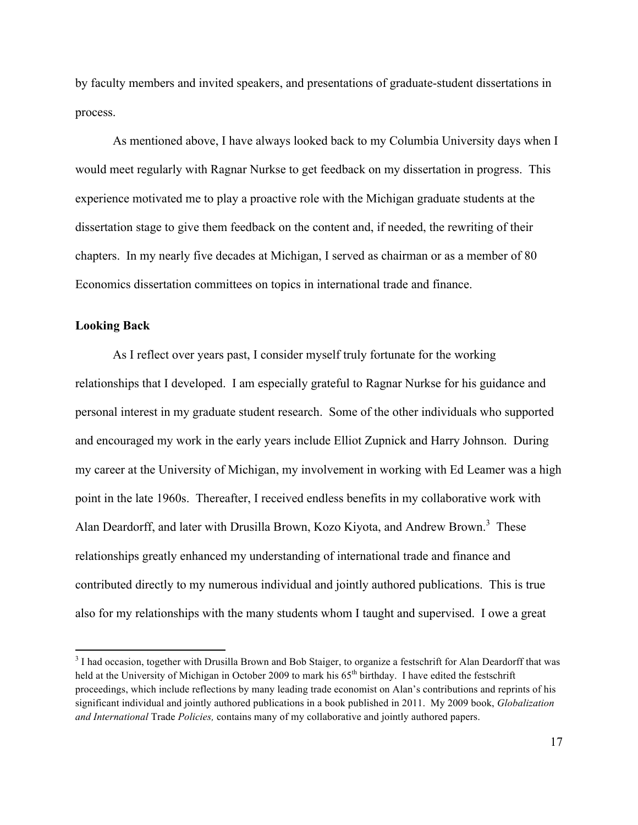by faculty members and invited speakers, and presentations of graduate-student dissertations in process.

As mentioned above, I have always looked back to my Columbia University days when I would meet regularly with Ragnar Nurkse to get feedback on my dissertation in progress. This experience motivated me to play a proactive role with the Michigan graduate students at the dissertation stage to give them feedback on the content and, if needed, the rewriting of their chapters. In my nearly five decades at Michigan, I served as chairman or as a member of 80 Economics dissertation committees on topics in international trade and finance.

## **Looking Back**

 

As I reflect over years past, I consider myself truly fortunate for the working relationships that I developed. I am especially grateful to Ragnar Nurkse for his guidance and personal interest in my graduate student research. Some of the other individuals who supported and encouraged my work in the early years include Elliot Zupnick and Harry Johnson. During my career at the University of Michigan, my involvement in working with Ed Leamer was a high point in the late 1960s. Thereafter, I received endless benefits in my collaborative work with Alan Deardorff, and later with Drusilla Brown, Kozo Kiyota, and Andrew Brown.<sup>3</sup> These relationships greatly enhanced my understanding of international trade and finance and contributed directly to my numerous individual and jointly authored publications. This is true also for my relationships with the many students whom I taught and supervised. I owe a great

<sup>&</sup>lt;sup>3</sup> I had occasion, together with Drusilla Brown and Bob Staiger, to organize a festschrift for Alan Deardorff that was held at the University of Michigan in October 2009 to mark his 65<sup>th</sup> birthday. I have edited the festschrift proceedings, which include reflections by many leading trade economist on Alan's contributions and reprints of his significant individual and jointly authored publications in a book published in 2011. My 2009 book, *Globalization and International* Trade *Policies,* contains many of my collaborative and jointly authored papers.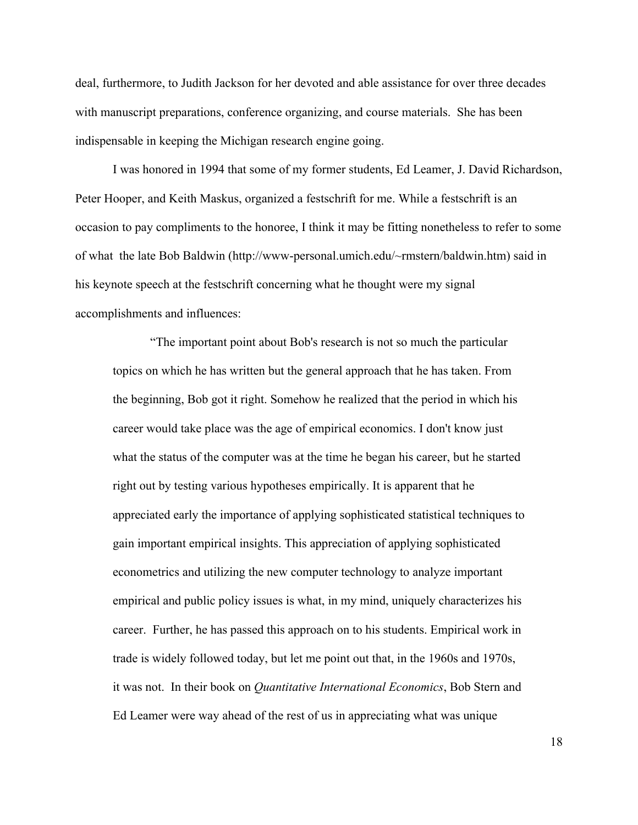deal, furthermore, to Judith Jackson for her devoted and able assistance for over three decades with manuscript preparations, conference organizing, and course materials. She has been indispensable in keeping the Michigan research engine going.

I was honored in 1994 that some of my former students, Ed Leamer, J. David Richardson, Peter Hooper, and Keith Maskus, organized a festschrift for me. While a festschrift is an occasion to pay compliments to the honoree, I think it may be fitting nonetheless to refer to some of what the late Bob Baldwin (http://www-personal.umich.edu/~rmstern/baldwin.htm) said in his keynote speech at the festschrift concerning what he thought were my signal accomplishments and influences:

"The important point about Bob's research is not so much the particular topics on which he has written but the general approach that he has taken. From the beginning, Bob got it right. Somehow he realized that the period in which his career would take place was the age of empirical economics. I don't know just what the status of the computer was at the time he began his career, but he started right out by testing various hypotheses empirically. It is apparent that he appreciated early the importance of applying sophisticated statistical techniques to gain important empirical insights. This appreciation of applying sophisticated econometrics and utilizing the new computer technology to analyze important empirical and public policy issues is what, in my mind, uniquely characterizes his career. Further, he has passed this approach on to his students. Empirical work in trade is widely followed today, but let me point out that, in the 1960s and 1970s, it was not. In their book on *Quantitative International Economics*, Bob Stern and Ed Leamer were way ahead of the rest of us in appreciating what was unique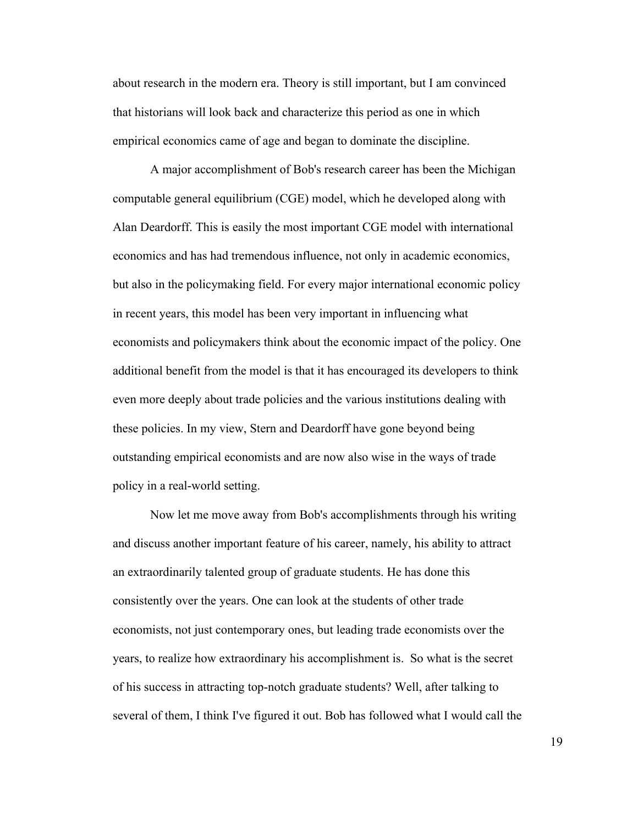about research in the modern era. Theory is still important, but I am convinced that historians will look back and characterize this period as one in which empirical economics came of age and began to dominate the discipline.

A major accomplishment of Bob's research career has been the Michigan computable general equilibrium (CGE) model, which he developed along with Alan Deardorff. This is easily the most important CGE model with international economics and has had tremendous influence, not only in academic economics, but also in the policymaking field. For every major international economic policy in recent years, this model has been very important in influencing what economists and policymakers think about the economic impact of the policy. One additional benefit from the model is that it has encouraged its developers to think even more deeply about trade policies and the various institutions dealing with these policies. In my view, Stern and Deardorff have gone beyond being outstanding empirical economists and are now also wise in the ways of trade policy in a real-world setting.

Now let me move away from Bob's accomplishments through his writing and discuss another important feature of his career, namely, his ability to attract an extraordinarily talented group of graduate students. He has done this consistently over the years. One can look at the students of other trade economists, not just contemporary ones, but leading trade economists over the years, to realize how extraordinary his accomplishment is. So what is the secret of his success in attracting top-notch graduate students? Well, after talking to several of them, I think I've figured it out. Bob has followed what I would call the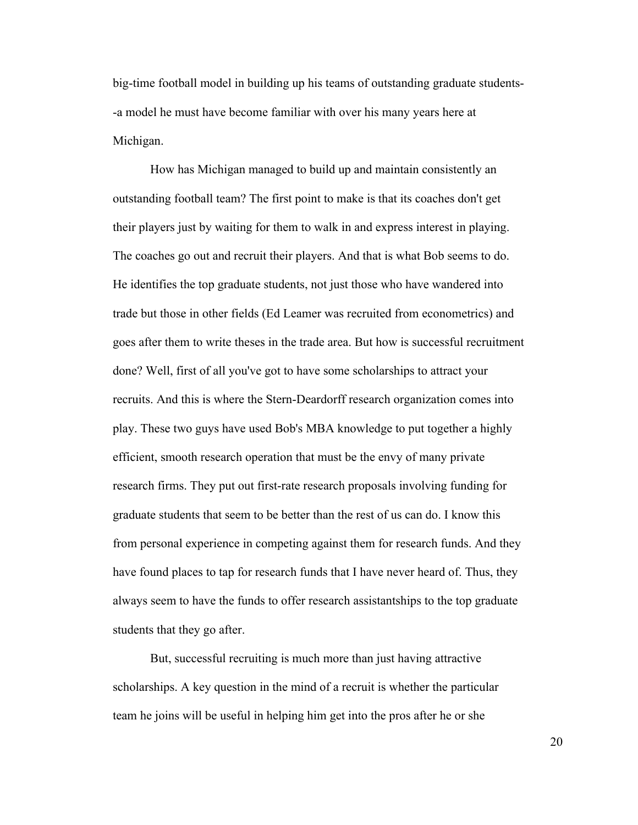big-time football model in building up his teams of outstanding graduate students- -a model he must have become familiar with over his many years here at Michigan.

How has Michigan managed to build up and maintain consistently an outstanding football team? The first point to make is that its coaches don't get their players just by waiting for them to walk in and express interest in playing. The coaches go out and recruit their players. And that is what Bob seems to do. He identifies the top graduate students, not just those who have wandered into trade but those in other fields (Ed Leamer was recruited from econometrics) and goes after them to write theses in the trade area. But how is successful recruitment done? Well, first of all you've got to have some scholarships to attract your recruits. And this is where the Stern-Deardorff research organization comes into play. These two guys have used Bob's MBA knowledge to put together a highly efficient, smooth research operation that must be the envy of many private research firms. They put out first-rate research proposals involving funding for graduate students that seem to be better than the rest of us can do. I know this from personal experience in competing against them for research funds. And they have found places to tap for research funds that I have never heard of. Thus, they always seem to have the funds to offer research assistantships to the top graduate students that they go after.

But, successful recruiting is much more than just having attractive scholarships. A key question in the mind of a recruit is whether the particular team he joins will be useful in helping him get into the pros after he or she